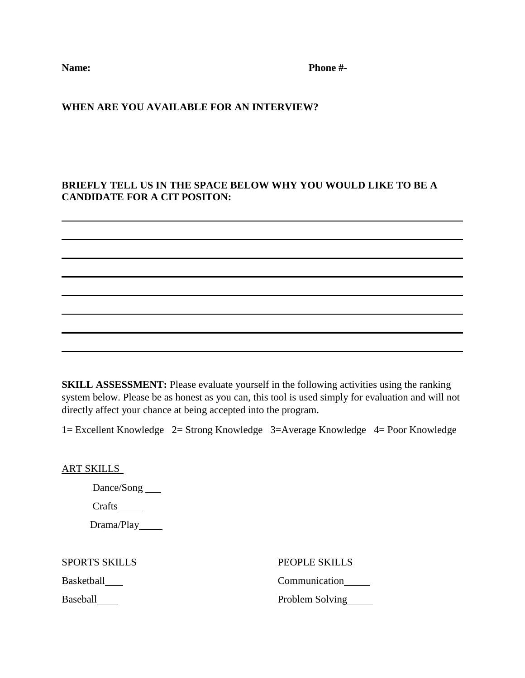Name: Phone #-

## **WHEN ARE YOU AVAILABLE FOR AN INTERVIEW?**

# **BRIEFLY TELL US IN THE SPACE BELOW WHY YOU WOULD LIKE TO BE A CANDIDATE FOR A CIT POSITON:**

 **SKILL ASSESSMENT:** Please evaluate yourself in the following activities using the ranking

system below. Please be as honest as you can, this tool is used simply for evaluation and will not directly affect your chance at being accepted into the program.

1= Excellent Knowledge 2= Strong Knowledge 3=Average Knowledge 4= Poor Knowledge

ART SKILLS

Dance/Song

Crafts

Drama/Play\_\_\_\_\_\_

SPORTS SKILLS PEOPLE SKILLS

Basketball Communication

Baseball Problem Solving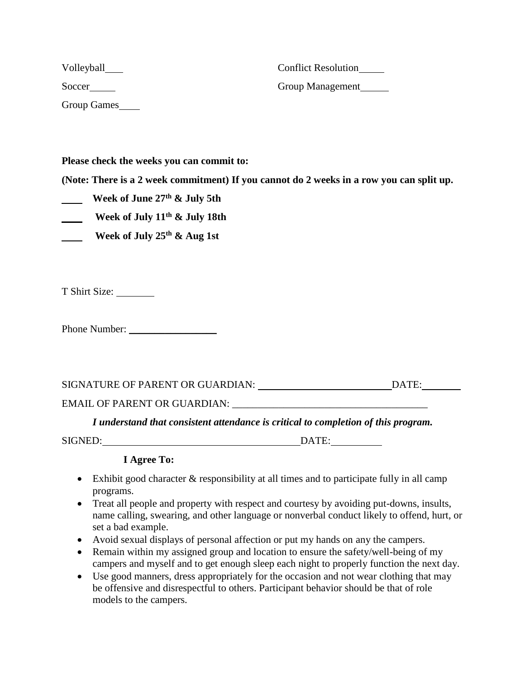| Volleyball____     | <b>Conflict Resolution</b> |
|--------------------|----------------------------|
| Soccer             | Group Management           |
| <b>Group Games</b> |                            |

**Please check the weeks you can commit to:**

**(Note: There is a 2 week commitment) If you cannot do 2 weeks in a row you can split up.**

- **Week of June 27th & July 5th**
- **Week of July 11th & July 18th**
- **Week of July 25th & Aug 1st**

T Shirt Size:

Phone Number:

| SIGNATURE OF PARENT OR GUARDIAN:    | DATE: |
|-------------------------------------|-------|
| <b>EMAIL OF PARENT OR GUARDIAN:</b> |       |

### *I understand that consistent attendance is critical to completion of this program.*

SIGNED: DATE:

# **I Agree To:**

- Exhibit good character & responsibility at all times and to participate fully in all camp programs.
- Treat all people and property with respect and courtesy by avoiding put-downs, insults, name calling, swearing, and other language or nonverbal conduct likely to offend, hurt, or set a bad example.
- Avoid sexual displays of personal affection or put my hands on any the campers.
- Remain within my assigned group and location to ensure the safety/well-being of my campers and myself and to get enough sleep each night to properly function the next day.
- Use good manners, dress appropriately for the occasion and not wear clothing that may be offensive and disrespectful to others. Participant behavior should be that of role models to the campers.